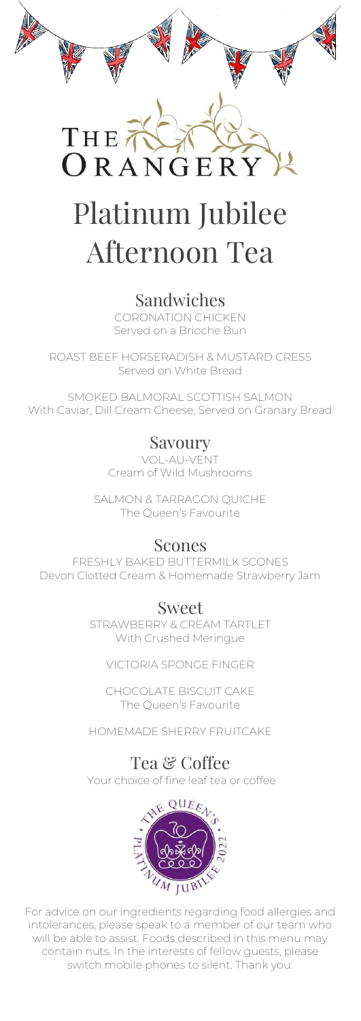

THE  $ORANGE$ 

# Platinum Jubilee Afternoon Tea

#### Sandwiches

CORONATION CHICKEN Served on a Brioche Bun

ROAST BEEF HORSERADISH & MUSTARD CRESS Served on White Bread

SMOKED BALMORAL SCOTTISH SALMON With Caviar, Dill Cream Cheese, Served on Granary Bread

## Savoury

VOL-AU-VENT Cream of Wild Mushrooms

SALMON & TARRAGON QUICHE The Queen's Favourite

#### Scones

FRESHLY BAKED BUTTERMILK SCONES Devon Clotted Cream & Homemade Strawberry Jam

## Sweet

STRAWBERRY & CREAM TARTLET With Crushed Meringue

VICTORIA SPONGE FINGER

CHOCOLATE BISCUIT CAKE The Queen's Favourite

HOMEMADE SHERRY FRUITCAKE

## Tea & Coffee

Your choice of fine leaf tea or coffee



For advice on our ingredients regarding food allergies and intolerances, please speak to a member of our team who will be able to assist. Foods described in this menu may contain nuts. In the interests of fellow guests, please switch mobile phones to silent. Thank you.